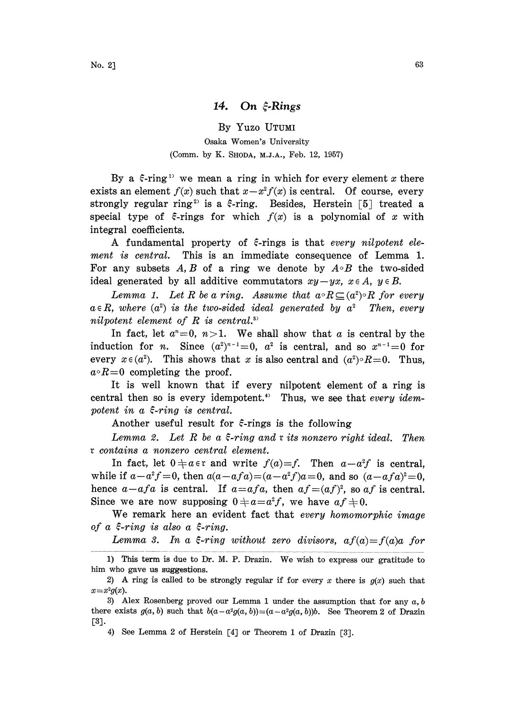## 14. On  $\hat{\xi}$ -Rings

By Yuzo UTUMI Osaka Women's University (Comm. by K. SHODA, M.J.A., Feb. 12, 1957)

By a  $\xi$ -ring<sup>1)</sup> we mean a ring in which for every element x there exists an element  $f(x)$  such that  $x-x^2f(x)$  is central. Of course, every strongly regular ring<sup>2</sup> is a  $\xi$ -ring. Besides, Herstein [5] treated a special type of  $\xi$ -rings for which  $f(x)$  is a polynomial of x with integral coefficients.

A fundamental property of  $\xi$ -rings is that every nilpotent element is central. This is an immediate consequence of Lemma 1. For any subsets  $A, B$  of a ring we denote by  $A \circ B$  the two-sided ideal generated by all additive commutators  $xy-yx$ ,  $x \in A$ ,  $y \in B$ .

Lemma 1. Let R be a ring. Assume that  $a \circ R \subseteq (a^2) \circ R$  for every  $a \in R$ , where  $(a^2)$  is the two-sided ideal generated by  $a^2$  Then, every nilpotent element of  $R$  is central.<sup>3)</sup>

In fact, let  $a^n=0$ ,  $n>1$ . We shall show that a is central by the induction for *n*. Since  $(a^2)^{n-1}=0$ ,  $a^2$  is central, and so  $x^{n-1}=0$  for every  $x \in (a^2)$ . This shows that x is also central and  $(a^2) \circ R = 0$ . Thus,  $a \circ R = 0$  completing the proof.

It is well known that if every nilpotent element of a ring is central then so is every idempotent.<sup>4)</sup> Thus, we see that every idempotent in a  $\xi$ -ring is central.

Another useful result for  $\xi$ -rings is the following

Lemma 2. Let  $R$  be a  $\xi$ -ring and  $x$  its nonzero right ideal. Then contains a nonzero central element.

In fact, let  $0 \neq a \in \mathfrak{r}$  and write  $f(a)=f$ . Then  $a-a^2f$  is central, while if  $a-a^2f=0$ , then  $a(a-afa)=(a-a^2f)a=0$ , and so  $(a-afa)^2=0$ , hence  $a-afa$  is central. If  $a=afa$ , then  $af=(af)^2$ , so  $af$  is central. Since we are now supposing  $0+a=a^2f$ , we have  $af\neq0$ .

We remark here an evident fact that *every homomorphic image* of a  $\xi$ -ring is also a  $\xi$ -ring.

Lemma 3. In a  $\xi$ -ring without zero divisors,  $af(a)=f(a)a$  for

<sup>1)</sup> This term is due to Dr. M. P. Drazin. We wish to express our gratitude to him who gave us suggestions.

<sup>2)</sup> A ring is called to be strongly regular if for every x there is  $g(x)$  such that  $x=x^2g(x)$ .

<sup>3)</sup> Alex Rosenberg proved our Lemma 1 under the assumption that for any  $a, b$ there exists  $g(a, b)$  such that  $b(a-a^2g(a, b))=(a-a^2g(a, b))b$ . See Theorem 2 of Drazin  $[3]$ .

<sup>4)</sup> See Lemma <sup>2</sup> of Herstein [4] or Theorem <sup>1</sup> of Drazin [3].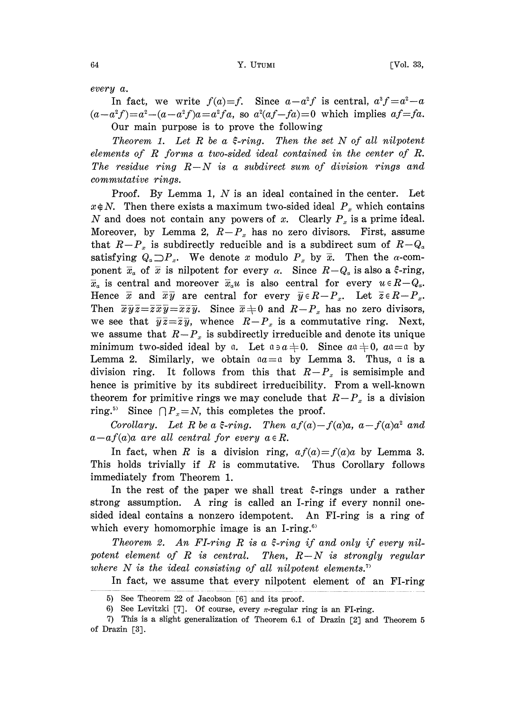every a.

In fact, we write  $f(a)=f$ . Since  $a-a^2f$  is central,  $a^3f=a^2-a$  $(a-a^2f)=a^2-(a-a^2f)a=a^2fa$ , so  $a^2(af-fa)=0$  which implies  $af=fa$ . Our main purpose is to prove the following

Theorem 1. Let R be a  $\xi$ -ring. Then the set N of all nilpotent elements of R forms <sup>a</sup> two-sided ideal contained in the center of R. The residue ring  $R-N$  is a subdirect sum of division rings and commutative rings.

Proof. By Lemma 1,  $N$  is an ideal contained in the center. Let  $x \notin N$ . Then there exists a maximum two-sided ideal  $P_x$  which contains N and does not contain any powers of x. Clearly  $P_x$  is a prime ideal. Moreover, by Lemma 2,  $R-P_x$  has no zero divisors. First, assume that  $R-P_x$  is subdirectly reducible and is a subdirect sum of  $R-Q_x$ satisfying  $Q_a \Box P_x$ . We denote x modulo  $P_x$  by  $\bar{x}$ . Then the  $\alpha$ -component  $\bar{x}_\alpha$  of  $\bar{x}$  is nilpotent for every  $\alpha$ . Since  $R-Q_\alpha$  is also a  $\xi$ -ring,  $\bar{x}_a$  is central and moreover  $\bar{x}_a u$  is also central for every  $u \in R-Q_a$ . Hence  $\bar{x}$  and  $\bar{x}\bar{y}$  are central for every  $\bar{y} \in R-P_x$ . Let  $\bar{z} \in R-P_x$ . Then  $\overline{x}\overline{y}\overline{z}=\overline{z}\overline{x}\overline{y}=\overline{x}\overline{z}\overline{y}$ . Since  $\overline{x}+0$  and  $R-P_x$  has no zero divisors, we see that  $\overline{y}\overline{z}=\overline{z}\overline{y}$ , whence  $R-P_x$  is a commutative ring. Next, we assume that  $R-P_x$  is subdirectly irreducible and denote its unique minimum two-sided ideal by a. Let  $a \ni a \neq 0$ . Since  $a \ni a \neq 0$ ,  $a \ni a \neq 0$ Lemma 2. Similarly, we obtain  $aa=a$  by Lemma 3. Thus, a is a division ring. It follows from this that  $R-P_x$  is semisimple and hence is primitive by its subdirect irreducibility. From a well-known theorem for primitive rings we may conclude that  $R-P_x$  is a division ring.<sup>5)</sup> Since  $\bigcap P_x = N$ , this completes the proof.

Corollary. Let R be a  $\xi$ -ring. Then  $af(a)-f(a)a$ ,  $a-f(a)a^2$  and  $a-a f(a)a$  are all central for every  $a \in R$ .

In fact, when R is a division ring,  $af(a)=f(a)a$  by Lemma 3. This holds trivially if  $R$  is commutative. Thus Corollary follows immediately from Theorem 1.

In the rest of the paper we shall treat  $\xi$ -rings under a rather strong assumption. A ring is called an I-ring if every nonnil onesided ideal contains a nonzero idempotent. An FI-ring is a ring of which every homomorphic image is an I-ring.<sup>6)</sup>

Theorem 2. An FI-ring R is a  $\xi$ -ring if and only if every nilpotent element of R is central. Then,  $R-N$  is strongly regular where  $N$  is the ideal consisting of all nilpotent elements.<sup>7</sup>

In fact, we assume that every nilpotent element of an FI-ring

<sup>5)</sup> See Theorem 22 of Jacobson [6] and its proof.

<sup>6)</sup> See Levitzki [7]. Of course, every  $\pi$ -regular ring is an FI-ring.

<sup>7)</sup> This is a slight generalization of Theorem 6.1 of Drazin [2J and Theorem 5 of Drazin [3].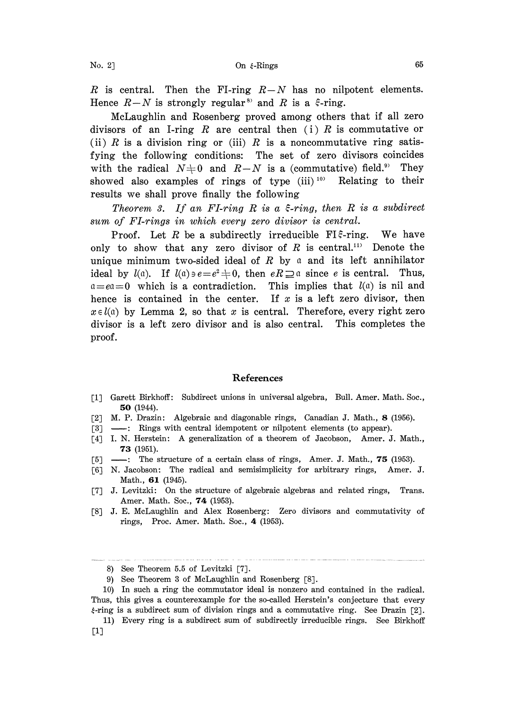R is central. Then the FI-ring  $R-N$  has no nilpotent elements. Hence  $R-N$  is strongly regular<sup>3</sup> and R is a  $\xi$ -ring.

McLaughlin and Rosenberg proved among others that if all zero divisors of an I-ring R are central then (i) R is commutative or (ii) R is a division ring or (iii) R is a noncommutative ring satisfying the following conditions: The set of zero divisors coincides with the radical  $N+0$  and  $R-N$  is a (commutative) field.<sup>99</sup> They showed also examples of rings of type  $(iii)^{10}$  Relating to their results we shall prove finally the following

Theorem 3. If an FI-ring R is a  $\xi$ -ring, then R is a subdirect sum of FI-rings in which every zero divisor is central.

Proof. Let R be a subdirectly irreducible FI $\epsilon$ -ring. We have only to show that any zero divisor of  $R$  is central.<sup>113</sup> Denote the unique minimum two-sided ideal of R by  $\alpha$  and its left annihilator ideal by  $l(\alpha)$ . If  $l(\alpha) \ni e = e^2 \neq 0$ , then  $eR \supseteq \alpha$  since e is central. Thus,  $a=ea=0$  which is a contradiction. This implies that  $l(a)$  is nil and hence is contained in the center. If  $x$  is a left zero divisor, then  $x \in l(a)$  by Lemma 2, so that x is central. Therefore, every right zero divisor is a left zero divisor and is also central. This completes the proof.

## References

- [1] Garett Birkhoff: Subdirect unions in universal algebra, Bull. Amer. Math. Soc., 50 (1944).
- [2] M. P. Drazin: Algebraic and diagonable rings, Canadian J. Math., 8 (1956).
- [3] ---: Rings with central idempotent or nilpotent elements (to appear).
- [4] I. N. Herstein: A generalization of a theorem of Jacobson, Amer. J. Math., 73 (1951).
- $[5]$  ---: The structure of a certain class of rings, Amer. J. Math., 75 (1953).
- [\_6] N. Jacobson: The radical and semisimplicity for arbitrary rings, Amer. J. Math., 61 (1945).
- [7] J. Levitzki: On the structure of algebraic algebras and related rings, Trans. Amer. Math. Soc., 74 (1953).
- [8] J. E. McLaughlin and Alex Rosenberg: Zero divisors and commutativity of rings, Proc. Amer. Math. Soc., 4. (1953).

<sup>8)</sup> See Theorem 5.5 of Levitzki [7].

<sup>9)</sup> See Theorem 3 of McLaughlin and Rosenberg [8].

<sup>10)</sup> In such a ring the commutator ideal is nonzero and contained in the radical. Thus, this gives a counterexample for the so-called Herstein's conjecture that every  $\xi$ -ring is a subdirect sum of division rings and a commutative ring. See Drazin [2].

<sup>11)</sup> Every ring is a subdirect sum of subdirectly irreducible rings. See Birkhoff  $\lceil 1 \rceil$